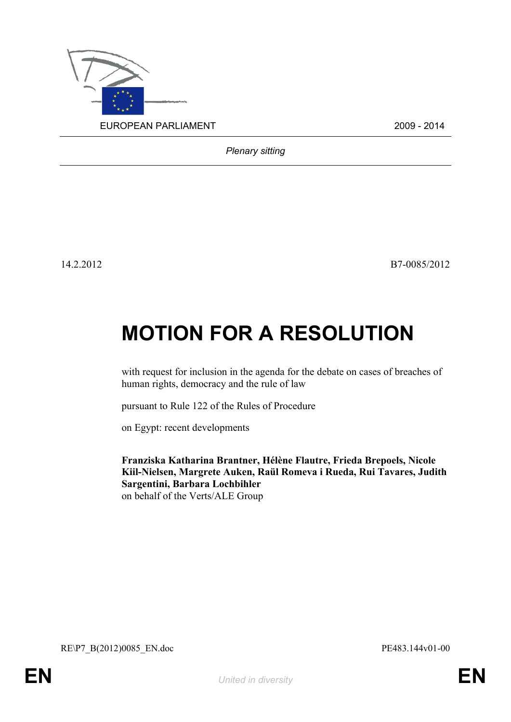

*Plenary sitting*

14.2.2012 B7-0085/2012

## **MOTION FOR A RESOLUTION**

with request for inclusion in the agenda for the debate on cases of breaches of human rights, democracy and the rule of law

pursuant to Rule 122 of the Rules of Procedure

on Egypt: recent developments

<span id="page-0-0"></span>**Franziska Katharina Brantner, Hélène Flautre, Frieda Brepoels, Nicole Kiil-Nielsen, Margrete Auken, Raül Romeva i Rueda, Rui Tavares, Judith Sargentini, Barbara Lochbihler** on behalf of the Verts/ALE Group

<span id="page-0-1"></span>RE\P7\_B(2012)0085\_EN.doc PE483.144v01-00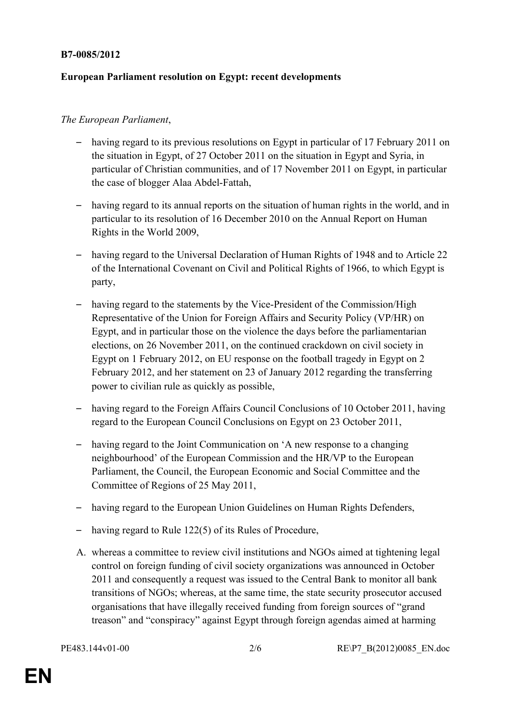## **B7-0085/2012**

## **European Parliament resolution on Egypt: recent developments**

## *The European Parliament*,

- having regard to its previous resolutions on Egypt in particular of 17 February 2011 on the situation in Egypt, of 27 October 2011 on the situation in Egypt and Syria, in particular of Christian communities, and of 17 November 2011 on Egypt, in particular the case of blogger Alaa Abdel-Fattah,
- having regard to its annual reports on the situation of human rights in the world, and in particular to its resolution of 16 December 2010 on the Annual Report on Human Rights in the World 2009,
- having regard to the Universal Declaration of Human Rights of 1948 and to Article 22 of the International Covenant on Civil and Political Rights of 1966, to which Egypt is party,
- having regard to the statements by the Vice-President of the Commission/High Representative of the Union for Foreign Affairs and Security Policy (VP/HR) on Egypt, and in particular those on the violence the days before the parliamentarian elections, on 26 November 2011, on the continued crackdown on civil society in Egypt on 1 February 2012, on EU response on the football tragedy in Egypt on 2 February 2012, and her statement on 23 of January 2012 regarding the transferring power to civilian rule as quickly as possible,
- having regard to the Foreign Affairs Council Conclusions of 10 October 2011, having regard to the European Council Conclusions on Egypt on 23 October 2011,
- having regard to the Joint Communication on 'A new response to a changing neighbourhood' of the European Commission and the HR/VP to the European Parliament, the Council, the European Economic and Social Committee and the Committee of Regions of 25 May 2011,
- having regard to the European Union Guidelines on Human Rights Defenders,
- having regard to Rule 122(5) of its Rules of Procedure,
- A. whereas a committee to review civil institutions and NGOs aimed at tightening legal control on foreign funding of civil society organizations was announced in October 2011 and consequently a request was issued to the Central Bank to monitor all bank transitions of NGOs; whereas, at the same time, the state security prosecutor accused organisations that have illegally received funding from foreign sources of "grand treason" and "conspiracy" against Egypt through foreign agendas aimed at harming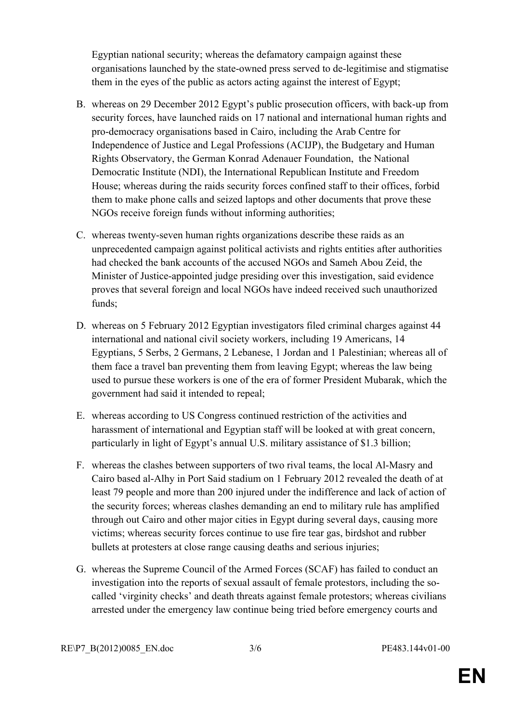Egyptian national security; whereas the defamatory campaign against these organisations launched by the state-owned press served to de-legitimise and stigmatise them in the eyes of the public as actors acting against the interest of Egypt;

- B. whereas on 29 December 2012 Egypt's public prosecution officers, with back-up from security forces, have launched raids on 17 national and international human rights and pro-democracy organisations based in Cairo, including the Arab Centre for Independence of Justice and Legal Professions (ACIJP), the Budgetary and Human Rights Observatory, the German Konrad Adenauer Foundation, the National Democratic Institute (NDI), the International Republican Institute and Freedom House; whereas during the raids security forces confined staff to their offices, forbid them to make phone calls and seized laptops and other documents that prove these NGOs receive foreign funds without informing authorities;
- C. whereas twenty-seven human rights organizations describe these raids as an unprecedented campaign against political activists and rights entities after authorities had checked the bank accounts of the accused NGOs and Sameh Abou Zeid, the Minister of Justice-appointed judge presiding over this investigation, said evidence proves that several foreign and local NGOs have indeed received such unauthorized funds;
- D. whereas on 5 February 2012 Egyptian investigators filed criminal charges against 44 international and national civil society workers, including 19 Americans, 14 Egyptians, 5 Serbs, 2 Germans, 2 Lebanese, 1 Jordan and 1 Palestinian; whereas all of them face a travel ban preventing them from leaving Egypt; whereas the law being used to pursue these workers is one of the era of former President Mubarak, which the government had said it intended to repeal;
- E. whereas according to US Congress continued restriction of the activities and harassment of international and Egyptian staff will be looked at with great concern, particularly in light of Egypt's annual U.S. military assistance of \$1.3 billion;
- F. whereas the clashes between supporters of two rival teams, the local Al-Masry and Cairo based al-Alhy in Port Said stadium on 1 February 2012 revealed the death of at least 79 people and more than 200 injured under the indifference and lack of action of the security forces; whereas clashes demanding an end to military rule has amplified through out Cairo and other major cities in Egypt during several days, causing more victims; whereas security forces continue to use fire tear gas, birdshot and rubber bullets at protesters at close range causing deaths and serious injuries;
- G. whereas the Supreme Council of the Armed Forces (SCAF) has failed to conduct an investigation into the reports of sexual assault of female protestors, including the socalled 'virginity checks' and death threats against female protestors; whereas civilians arrested under the emergency law continue being tried before emergency courts and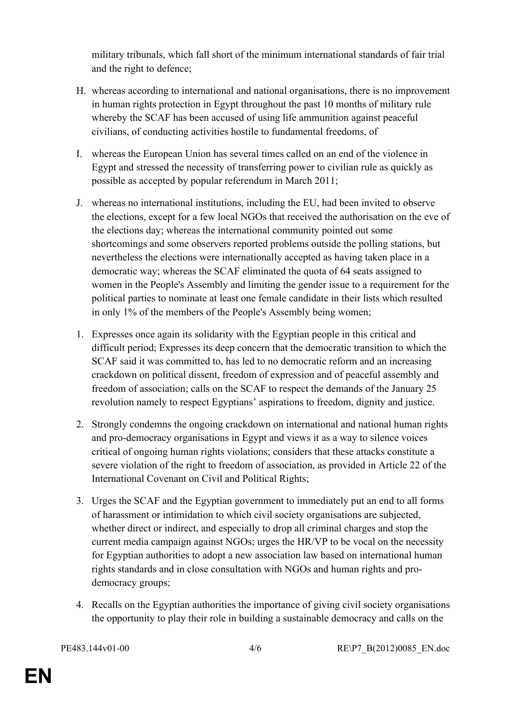military tribunals, which fall short of the minimum international standards of fair trial and the right to defence;

- H. whereas according to international and national organisations, there is no improvement in human rights protection in Egypt throughout the past 10 months of military rule whereby the SCAF has been accused of using life ammunition against peaceful civilians, of conducting activities hostile to fundamental freedoms, of
- I. whereas the European Union has several times called on an end of the violence in Egypt and stressed the necessity of transferring power to civilian rule as quickly as possible as accepted by popular referendum in March 2011;
- J. whereas no international institutions, including the EU, had been invited to observe the elections, except for a few local NGOs that received the authorisation on the eve of the elections day; whereas the international community pointed out some shortcomings and some observers reported problems outside the polling stations, but nevertheless the elections were internationally accepted as having taken place in a democratic way; whereas the SCAF eliminated the quota of 64 seats assigned to women in the People's Assembly and limiting the gender issue to a requirement for the political parties to nominate at least one female candidate in their lists which resulted in only 1% of the members of the People's Assembly being women;
- 1. Expresses once again its solidarity with the Egyptian people in this critical and difficult period; Expresses its deep concern that the democratic transition to which the SCAF said it was committed to, has led to no democratic reform and an increasing crackdown on political dissent, freedom of expression and of peaceful assembly and freedom of association; calls on the SCAF to respect the demands of the January 25 revolution namely to respect Egyptians' aspirations to freedom, dignity and justice.
- 2. Strongly condemns the ongoing crackdown on international and national human rights and pro-democracy organisations in Egypt and views it as a way to silence voices critical of ongoing human rights violations; considers that these attacks constitute a severe violation of the right to freedom of association, as provided in Article 22 of the International Covenant on Civil and Political Rights;
- 3. Urges the SCAF and the Egyptian government to immediately put an end to all forms of harassment or intimidation to which civil society organisations are subjected, whether direct or indirect, and especially to drop all criminal charges and stop the current media campaign against NGOs; urges the HR/VP to be vocal on the necessity for Egyptian authorities to adopt a new association law based on international human rights standards and in close consultation with NGOs and human rights and prodemocracy groups;
- 4. Recalls on the Egyptian authorities the importance of giving civil society organisations the opportunity to play their role in building a sustainable democracy and calls on the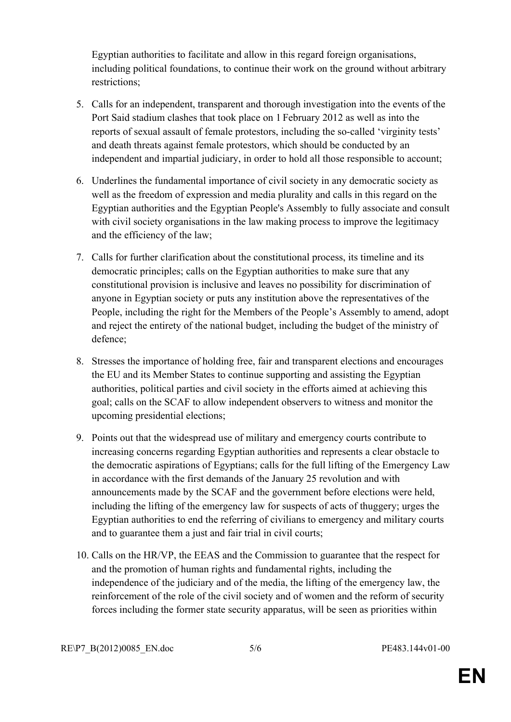Egyptian authorities to facilitate and allow in this regard foreign organisations, including political foundations, to continue their work on the ground without arbitrary restrictions;

- 5. Calls for an independent, transparent and thorough investigation into the events of the Port Said stadium clashes that took place on 1 February 2012 as well as into the reports of sexual assault of female protestors, including the so-called 'virginity tests' and death threats against female protestors, which should be conducted by an independent and impartial judiciary, in order to hold all those responsible to account;
- 6. Underlines the fundamental importance of civil society in any democratic society as well as the freedom of expression and media plurality and calls in this regard on the Egyptian authorities and the Egyptian People's Assembly to fully associate and consult with civil society organisations in the law making process to improve the legitimacy and the efficiency of the law;
- 7. Calls for further clarification about the constitutional process, its timeline and its democratic principles; calls on the Egyptian authorities to make sure that any constitutional provision is inclusive and leaves no possibility for discrimination of anyone in Egyptian society or puts any institution above the representatives of the People, including the right for the Members of the People's Assembly to amend, adopt and reject the entirety of the national budget, including the budget of the ministry of defence;
- 8. Stresses the importance of holding free, fair and transparent elections and encourages the EU and its Member States to continue supporting and assisting the Egyptian authorities, political parties and civil society in the efforts aimed at achieving this goal; calls on the SCAF to allow independent observers to witness and monitor the upcoming presidential elections;
- 9. Points out that the widespread use of military and emergency courts contribute to increasing concerns regarding Egyptian authorities and represents a clear obstacle to the democratic aspirations of Egyptians; calls for the full lifting of the Emergency Law in accordance with the first demands of the January 25 revolution and with announcements made by the SCAF and the government before elections were held, including the lifting of the emergency law for suspects of acts of thuggery; urges the Egyptian authorities to end the referring of civilians to emergency and military courts and to guarantee them a just and fair trial in civil courts;
- 10. Calls on the HR/VP, the EEAS and the Commission to guarantee that the respect for and the promotion of human rights and fundamental rights, including the independence of the judiciary and of the media, the lifting of the emergency law, the reinforcement of the role of the civil society and of women and the reform of security forces including the former state security apparatus, will be seen as priorities within